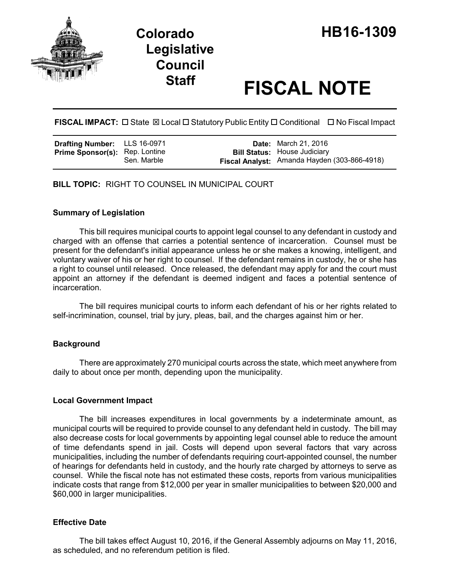

# **Legislative Council**

## **Staff FISCAL NOTE**

**FISCAL IMPACT:** □ State  $\boxtimes$  Local □ Statutory Public Entity □ Conditional □ No Fiscal Impact

| <b>Drafting Number:</b> LLS 16-0971   |             | <b>Date:</b> March 21, 2016                                                         |
|---------------------------------------|-------------|-------------------------------------------------------------------------------------|
| <b>Prime Sponsor(s):</b> Rep. Lontine | Sen. Marble | <b>Bill Status: House Judiciary</b><br>Fiscal Analyst: Amanda Hayden (303-866-4918) |

**BILL TOPIC:** RIGHT TO COUNSEL IN MUNICIPAL COURT

#### **Summary of Legislation**

This bill requires municipal courts to appoint legal counsel to any defendant in custody and charged with an offense that carries a potential sentence of incarceration. Counsel must be present for the defendant's initial appearance unless he or she makes a knowing, intelligent, and voluntary waiver of his or her right to counsel. If the defendant remains in custody, he or she has a right to counsel until released. Once released, the defendant may apply for and the court must appoint an attorney if the defendant is deemed indigent and faces a potential sentence of incarceration.

The bill requires municipal courts to inform each defendant of his or her rights related to self-incrimination, counsel, trial by jury, pleas, bail, and the charges against him or her.

#### **Background**

There are approximately 270 municipal courts across the state, which meet anywhere from daily to about once per month, depending upon the municipality.

#### **Local Government Impact**

The bill increases expenditures in local governments by a indeterminate amount, as municipal courts will be required to provide counsel to any defendant held in custody. The bill may also decrease costs for local governments by appointing legal counsel able to reduce the amount of time defendants spend in jail. Costs will depend upon several factors that vary across municipalities, including the number of defendants requiring court-appointed counsel, the number of hearings for defendants held in custody, and the hourly rate charged by attorneys to serve as counsel. While the fiscal note has not estimated these costs, reports from various municipalities indicate costs that range from \$12,000 per year in smaller municipalities to between \$20,000 and \$60,000 in larger municipalities.

#### **Effective Date**

The bill takes effect August 10, 2016, if the General Assembly adjourns on May 11, 2016, as scheduled, and no referendum petition is filed.